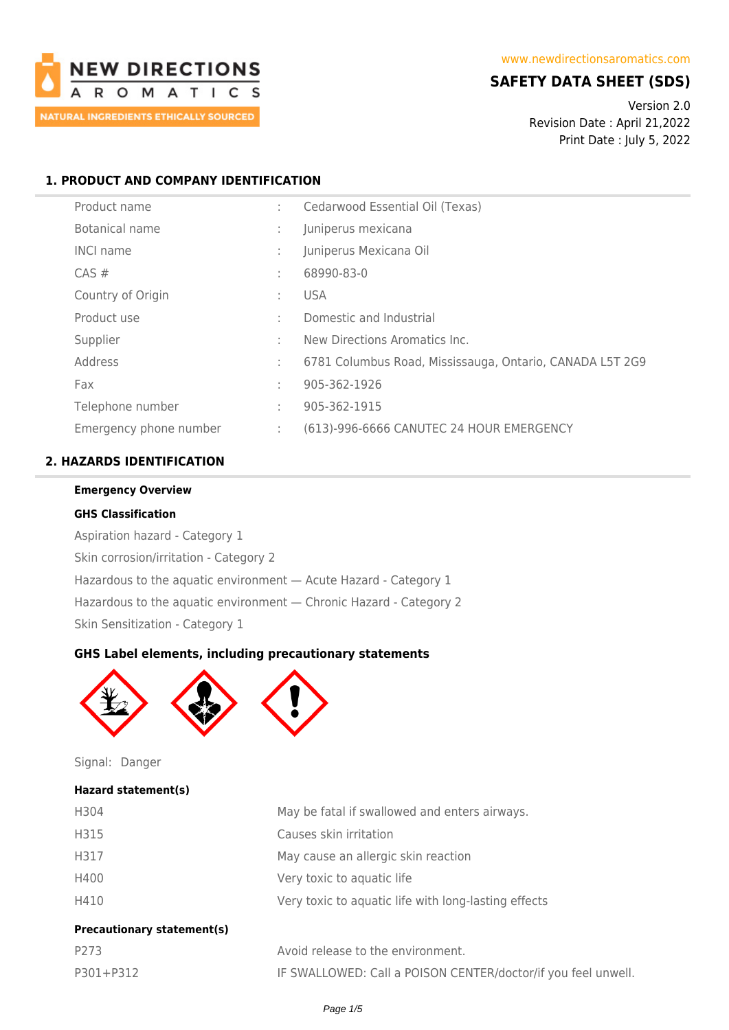

# **SAFETY DATA SHEET (SDS)**

Version 2.0 Revision Date : April 21,2022 Print Date : July 5, 2022

## **1. PRODUCT AND COMPANY IDENTIFICATION**

| Product name           | ÷ | Cedarwood Essential Oil (Texas)                          |
|------------------------|---|----------------------------------------------------------|
| Botanical name         |   | Juniperus mexicana                                       |
| <b>INCI name</b>       |   | Juniperus Mexicana Oil                                   |
| $CAS \#$               | ÷ | 68990-83-0                                               |
| Country of Origin      | ÷ | <b>USA</b>                                               |
| Product use            | ÷ | Domestic and Industrial                                  |
| Supplier               | ٠ | New Directions Aromatics Inc.                            |
| Address                | ÷ | 6781 Columbus Road, Mississauga, Ontario, CANADA L5T 2G9 |
| Fax                    | ÷ | 905-362-1926                                             |
| Telephone number       | ÷ | 905-362-1915                                             |
| Emergency phone number | ÷ | (613)-996-6666 CANUTEC 24 HOUR EMERGENCY                 |

## **2. HAZARDS IDENTIFICATION**

#### **Emergency Overview**

#### **GHS Classification**

Aspiration hazard - Category 1 Skin corrosion/irritation - Category 2 Hazardous to the aquatic environment — Acute Hazard - Category 1 Hazardous to the aquatic environment — Chronic Hazard - Category 2 Skin Sensitization - Category 1

## **GHS Label elements, including precautionary statements**



Signal: Danger

### **Hazard statement(s)**

| H304                              | May be fatal if swallowed and enters airways.        |
|-----------------------------------|------------------------------------------------------|
| H315                              | Causes skin irritation                               |
| H317                              | May cause an allergic skin reaction                  |
| H400                              | Very toxic to aquatic life                           |
| H410                              | Very toxic to aquatic life with long-lasting effects |
| <b>Precautionary statement(s)</b> |                                                      |
| P273                              | Avoid release to the environment.                    |

| P273      | Avoid release to the environment.                             |
|-----------|---------------------------------------------------------------|
| P301+P312 | IF SWALLOWED: Call a POISON CENTER/doctor/if you feel unwell. |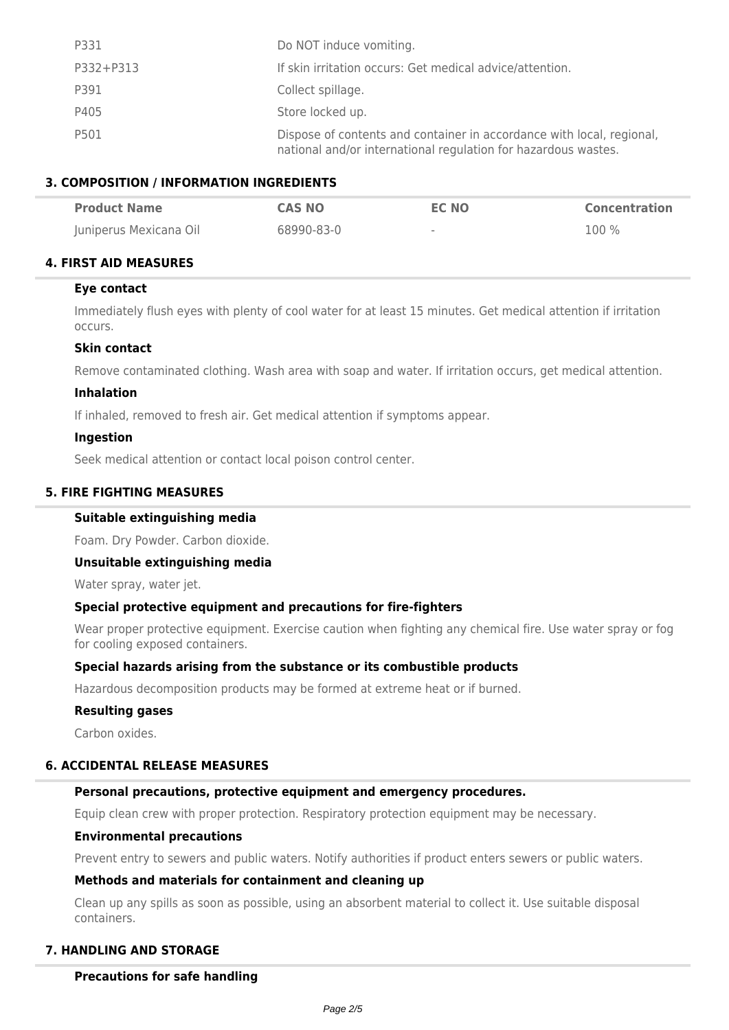| P331      | Do NOT induce vomiting.                                                                                                                 |
|-----------|-----------------------------------------------------------------------------------------------------------------------------------------|
| P332+P313 | If skin irritation occurs: Get medical advice/attention.                                                                                |
| P391      | Collect spillage.                                                                                                                       |
| P405      | Store locked up.                                                                                                                        |
| P501      | Dispose of contents and container in accordance with local, regional,<br>national and/or international regulation for hazardous wastes. |

### **3. COMPOSITION / INFORMATION INGREDIENTS**

| <b>Product Name</b>    | <b>CAS NO</b> | <b>EC NO</b> | <b>Concentration</b> |
|------------------------|---------------|--------------|----------------------|
| Juniperus Mexicana Oil | 68990-83-0    | $\sim$       | 100 %                |

### **4. FIRST AID MEASURES**

### **Eye contact**

Immediately flush eyes with plenty of cool water for at least 15 minutes. Get medical attention if irritation occurs.

### **Skin contact**

Remove contaminated clothing. Wash area with soap and water. If irritation occurs, get medical attention.

#### **Inhalation**

If inhaled, removed to fresh air. Get medical attention if symptoms appear.

#### **Ingestion**

Seek medical attention or contact local poison control center.

### **5. FIRE FIGHTING MEASURES**

### **Suitable extinguishing media**

Foam. Dry Powder. Carbon dioxide.

### **Unsuitable extinguishing media**

Water spray, water jet.

### **Special protective equipment and precautions for fire-fighters**

Wear proper protective equipment. Exercise caution when fighting any chemical fire. Use water spray or fog for cooling exposed containers.

### **Special hazards arising from the substance or its combustible products**

Hazardous decomposition products may be formed at extreme heat or if burned.

#### **Resulting gases**

Carbon oxides.

# **6. ACCIDENTAL RELEASE MEASURES**

## **Personal precautions, protective equipment and emergency procedures.**

Equip clean crew with proper protection. Respiratory protection equipment may be necessary.

## **Environmental precautions**

Prevent entry to sewers and public waters. Notify authorities if product enters sewers or public waters.

# **Methods and materials for containment and cleaning up**

Clean up any spills as soon as possible, using an absorbent material to collect it. Use suitable disposal containers.

# **7. HANDLING AND STORAGE**

## **Precautions for safe handling**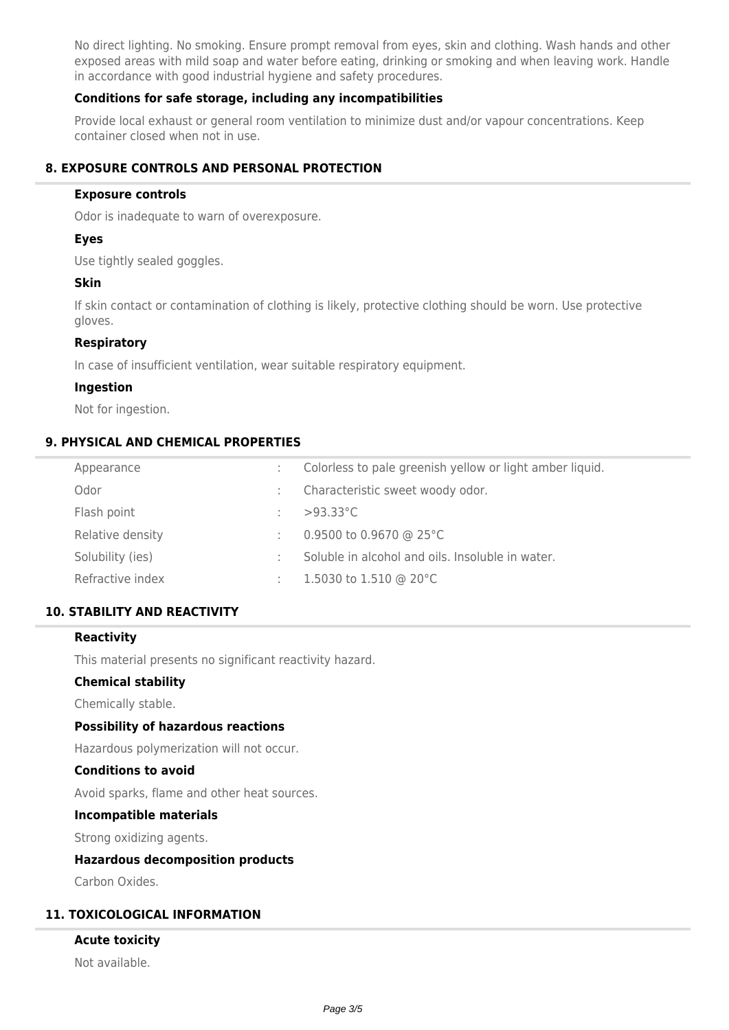No direct lighting. No smoking. Ensure prompt removal from eyes, skin and clothing. Wash hands and other exposed areas with mild soap and water before eating, drinking or smoking and when leaving work. Handle in accordance with good industrial hygiene and safety procedures.

### **Conditions for safe storage, including any incompatibilities**

Provide local exhaust or general room ventilation to minimize dust and/or vapour concentrations. Keep container closed when not in use.

## **8. EXPOSURE CONTROLS AND PERSONAL PROTECTION**

#### **Exposure controls**

Odor is inadequate to warn of overexposure.

### **Eyes**

Use tightly sealed goggles.

#### **Skin**

If skin contact or contamination of clothing is likely, protective clothing should be worn. Use protective gloves.

#### **Respiratory**

In case of insufficient ventilation, wear suitable respiratory equipment.

#### **Ingestion**

Not for ingestion.

### **9. PHYSICAL AND CHEMICAL PROPERTIES**

| Colorless to pale greenish yellow or light amber liquid. |
|----------------------------------------------------------|
| Characteristic sweet woody odor.                         |
| $>93.33^{\circ}$ C                                       |
| 0.9500 to 0.9670 @ 25 $^{\circ}$ C                       |
| Soluble in alcohol and oils. Insoluble in water.         |
| 1.5030 to 1.510 @ 20 $^{\circ}$ C                        |
|                                                          |

### **10. STABILITY AND REACTIVITY**

#### **Reactivity**

This material presents no significant reactivity hazard.

### **Chemical stability**

Chemically stable.

### **Possibility of hazardous reactions**

Hazardous polymerization will not occur.

### **Conditions to avoid**

Avoid sparks, flame and other heat sources.

#### **Incompatible materials**

Strong oxidizing agents.

#### **Hazardous decomposition products**

Carbon Oxides.

### **11. TOXICOLOGICAL INFORMATION**

#### **Acute toxicity**

Not available.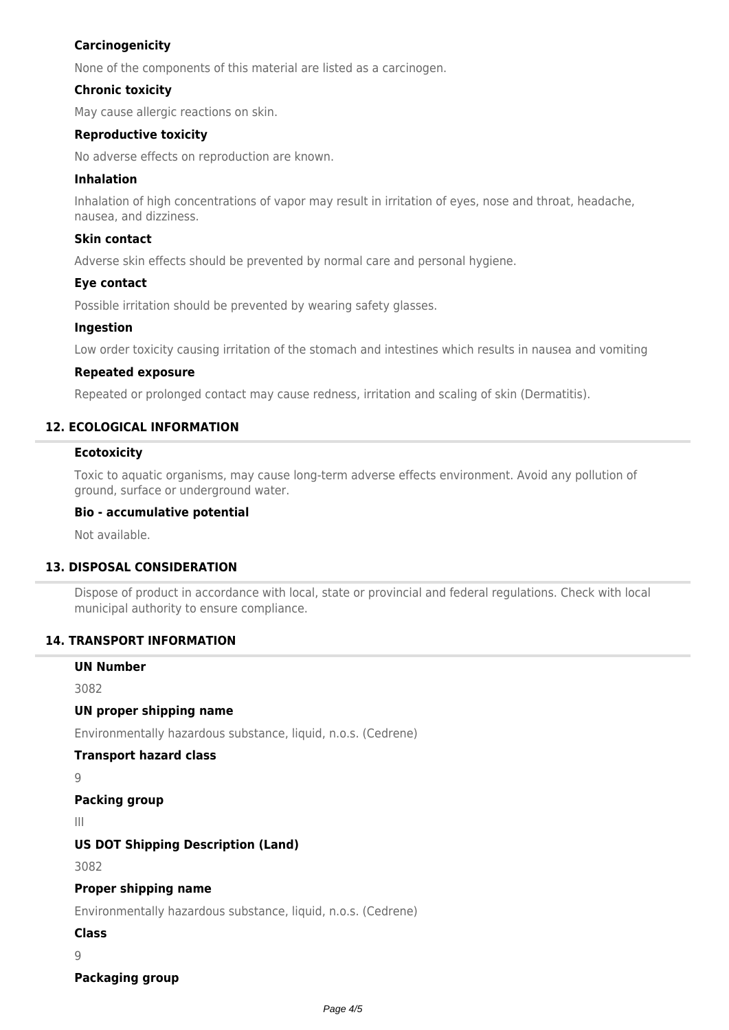## **Carcinogenicity**

None of the components of this material are listed as a carcinogen.

### **Chronic toxicity**

May cause allergic reactions on skin.

### **Reproductive toxicity**

No adverse effects on reproduction are known.

### **Inhalation**

Inhalation of high concentrations of vapor may result in irritation of eyes, nose and throat, headache, nausea, and dizziness.

### **Skin contact**

Adverse skin effects should be prevented by normal care and personal hygiene.

### **Eye contact**

Possible irritation should be prevented by wearing safety glasses.

### **Ingestion**

Low order toxicity causing irritation of the stomach and intestines which results in nausea and vomiting

### **Repeated exposure**

Repeated or prolonged contact may cause redness, irritation and scaling of skin (Dermatitis).

### **12. ECOLOGICAL INFORMATION**

#### **Ecotoxicity**

Toxic to aquatic organisms, may cause long-term adverse effects environment. Avoid any pollution of ground, surface or underground water.

### **Bio - accumulative potential**

Not available.

### **13. DISPOSAL CONSIDERATION**

Dispose of product in accordance with local, state or provincial and federal regulations. Check with local municipal authority to ensure compliance.

### **14. TRANSPORT INFORMATION**

### **UN Number**

3082

### **UN proper shipping name**

Environmentally hazardous substance, liquid, n.o.s. (Cedrene)

### **Transport hazard class**

9

```
Packing group
```
III

## **US DOT Shipping Description (Land)**

3082

### **Proper shipping name**

Environmentally hazardous substance, liquid, n.o.s. (Cedrene)

**Class**

9

### **Packaging group**